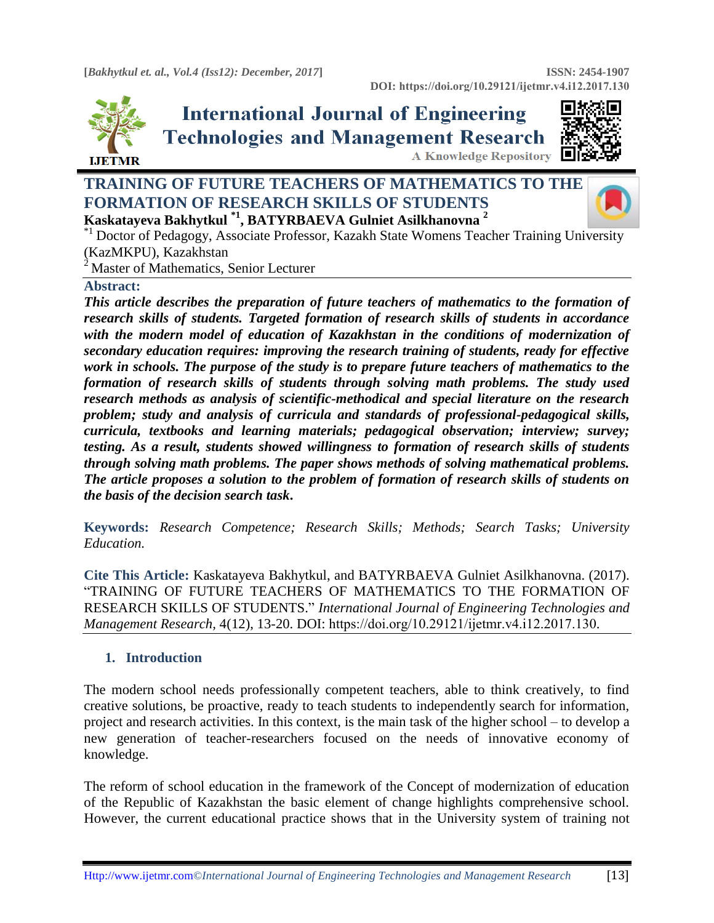

# **International Journal of Engineering Technologies and Management Research** A Knowledge Repository



## **TRAINING OF FUTURE TEACHERS OF MATHEMATICS TO THE FORMATION OF RESEARCH SKILLS OF STUDENTS Kaskatayeva Bakhytkul \*1 , BATYRBAEVA Gulniet Asilkhanovna <sup>2</sup>**



\*1 Doctor of Pedagogy, Associate Professor, Kazakh State Womens Teacher Training University (KazMKPU), Kazakhstan

 $2$  Master of Mathematics, Senior Lecturer

#### **Abstract:**

*This article describes the preparation of future teachers of mathematics to the formation of research skills of students. Targeted formation of research skills of students in accordance*  with the modern model of education of Kazakhstan in the conditions of modernization of *secondary education requires: improving the research training of students, ready for effective work in schools. The purpose of the study is to prepare future teachers of mathematics to the formation of research skills of students through solving math problems. The study used research methods as analysis of scientific-methodical and special literature on the research problem; study and analysis of curricula and standards of professional-pedagogical skills, curricula, textbooks and learning materials; pedagogical observation; interview; survey; testing. As a result, students showed willingness to formation of research skills of students through solving math problems. The paper shows methods of solving mathematical problems. The article proposes a solution to the problem of formation of research skills of students on the basis of the decision search task***.**

**Keywords:** *Research Competence; Research Skills; Methods; Search Tasks; University Education.* 

**Cite This Article:** Kaskatayeva Bakhytkul, and BATYRBAEVA Gulniet Asilkhanovna. (2017). "TRAINING OF FUTURE TEACHERS OF MATHEMATICS TO THE FORMATION OF RESEARCH SKILLS OF STUDENTS." *International Journal of Engineering Technologies and Management Research,* 4(12), 13-20. DOI: https://doi.org/10.29121/ijetmr.v4.i12.2017.130.

## **1. Introduction**

The modern school needs professionally competent teachers, able to think creatively, to find creative solutions, be proactive, ready to teach students to independently search for information, project and research activities. In this context, is the main task of the higher school – to develop a new generation of teacher-researchers focused on the needs of innovative economy of knowledge.

The reform of school education in the framework of the Concept of modernization of education of the Republic of Kazakhstan the basic element of change highlights comprehensive school. However, the current educational practice shows that in the University system of training not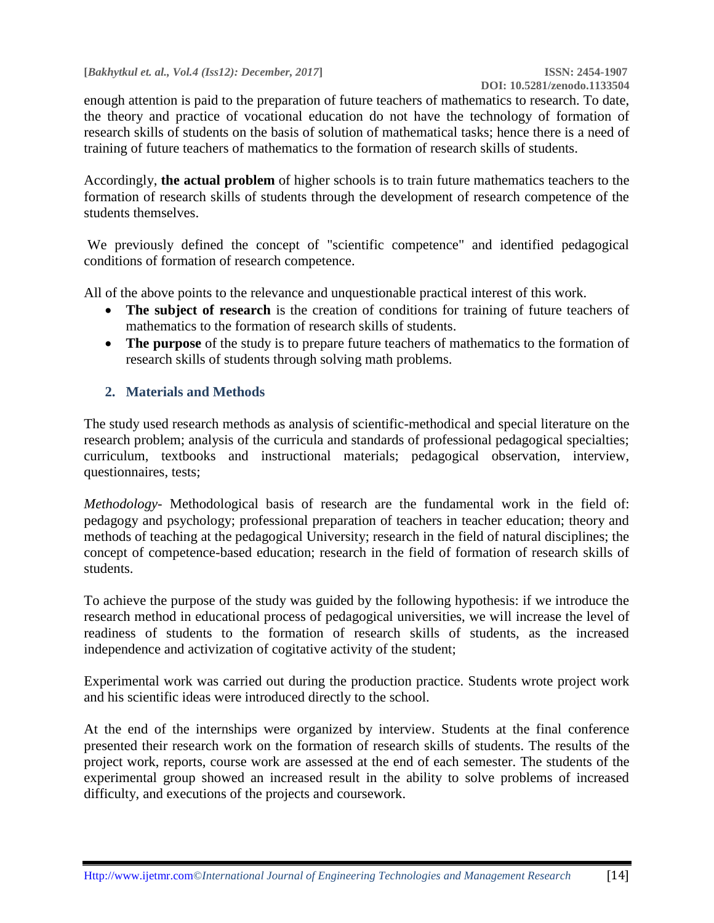enough attention is paid to the preparation of future teachers of mathematics to research. To date, the theory and practice of vocational education do not have the technology of formation of research skills of students on the basis of solution of mathematical tasks; hence there is a need of training of future teachers of mathematics to the formation of research skills of students.

Accordingly, **the actual problem** of higher schools is to train future mathematics teachers to the formation of research skills of students through the development of research competence of the students themselves.

We previously defined the concept of "scientific competence" and identified pedagogical conditions of formation of research competence.

All of the above points to the relevance and unquestionable practical interest of this work.

- The subject of research is the creation of conditions for training of future teachers of mathematics to the formation of research skills of students.
- **The purpose** of the study is to prepare future teachers of mathematics to the formation of research skills of students through solving math problems.

## **2. Materials and Methods**

The study used research methods as analysis of scientific-methodical and special literature on the research problem; analysis of the curricula and standards of professional pedagogical specialties; curriculum, textbooks and instructional materials; pedagogical observation, interview, questionnaires, tests;

*Methodology-* Methodological basis of research are the fundamental work in the field of: pedagogy and psychology; professional preparation of teachers in teacher education; theory and methods of teaching at the pedagogical University; research in the field of natural disciplines; the concept of competence-based education; research in the field of formation of research skills of students.

To achieve the purpose of the study was guided by the following hypothesis: if we introduce the research method in educational process of pedagogical universities, we will increase the level of readiness of students to the formation of research skills of students, as the increased independence and activization of cogitative activity of the student;

Experimental work was carried out during the production practice. Students wrote project work and his scientific ideas were introduced directly to the school.

At the end of the internships were organized by interview. Students at the final conference presented their research work on the formation of research skills of students. The results of the project work, reports, course work are assessed at the end of each semester. The students of the experimental group showed an increased result in the ability to solve problems of increased difficulty, and executions of the projects and coursework.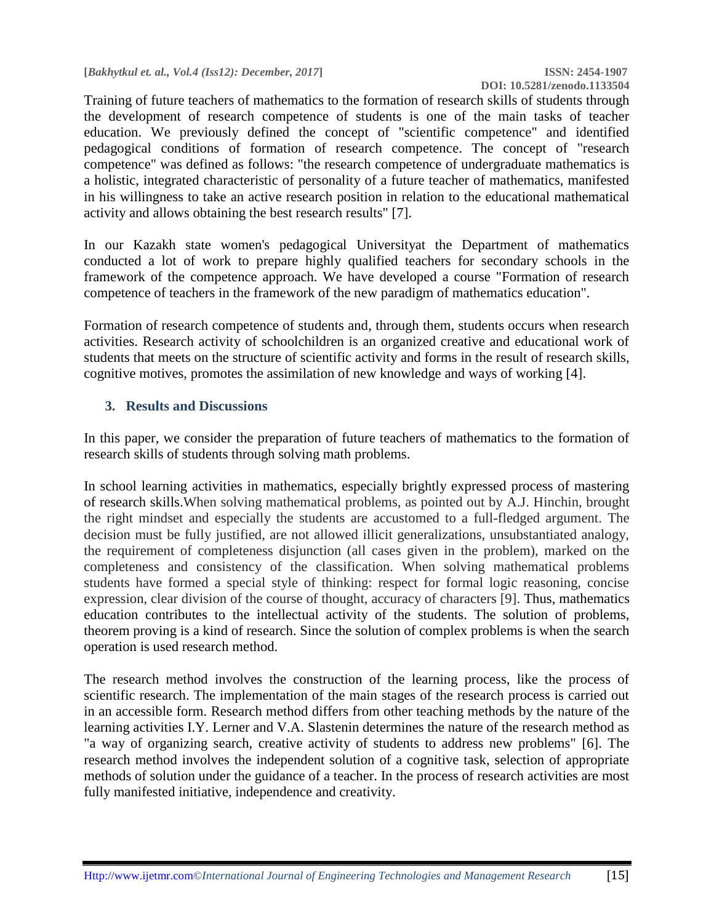Training of future teachers of mathematics to the formation of research skills of students through the development of research competence of students is one of the main tasks of teacher education. We previously defined the concept of "scientific competence" and identified pedagogical conditions of formation of research competence. The concept of "research competence" was defined as follows: "the research competence of undergraduate mathematics is a holistic, integrated characteristic of personality of a future teacher of mathematics, manifested in his willingness to take an active research position in relation to the educational mathematical activity and allows obtaining the best research results" [7].

In our Kazakh state women's pedagogical Universityat the Department of mathematics conducted a lot of work to prepare highly qualified teachers for secondary schools in the framework of the competence approach. We have developed a course "Formation of research competence of teachers in the framework of the new paradigm of mathematics education".

Formation of research competence of students and, through them, students occurs when research activities. Research activity of schoolchildren is an organized creative and educational work of students that meets on the structure of scientific activity and forms in the result of research skills, cognitive motives, promotes the assimilation of new knowledge and ways of working [4].

#### **3. Results and Discussions**

In this paper, we consider the preparation of future teachers of mathematics to the formation of research skills of students through solving math problems.

In school learning activities in mathematics, especially brightly expressed process of mastering of research skills.When solving mathematical problems, as pointed out by A.J. Hinchin, brought the right mindset and especially the students are accustomed to a full-fledged argument. The decision must be fully justified, are not allowed illicit generalizations, unsubstantiated analogy, the requirement of completeness disjunction (all cases given in the problem), marked on the completeness and consistency of the classification. When solving mathematical problems students have formed a special style of thinking: respect for formal logic reasoning, concise expression, clear division of the course of thought, accuracy of characters [9]. Thus, mathematics education contributes to the intellectual activity of the students. The solution of problems, theorem proving is a kind of research. Since the solution of complex problems is when the search operation is used research method.

The research method involves the construction of the learning process, like the process of scientific research. The implementation of the main stages of the research process is carried out in an accessible form. Research method differs from other teaching methods by the nature of the learning activities I.Y. Lerner and V.A. Slastenin determines the nature of the research method as "a way of organizing search, creative activity of students to address new problems" [6]. The research method involves the independent solution of a cognitive task, selection of appropriate methods of solution under the guidance of a teacher. In the process of research activities are most fully manifested initiative, independence and creativity.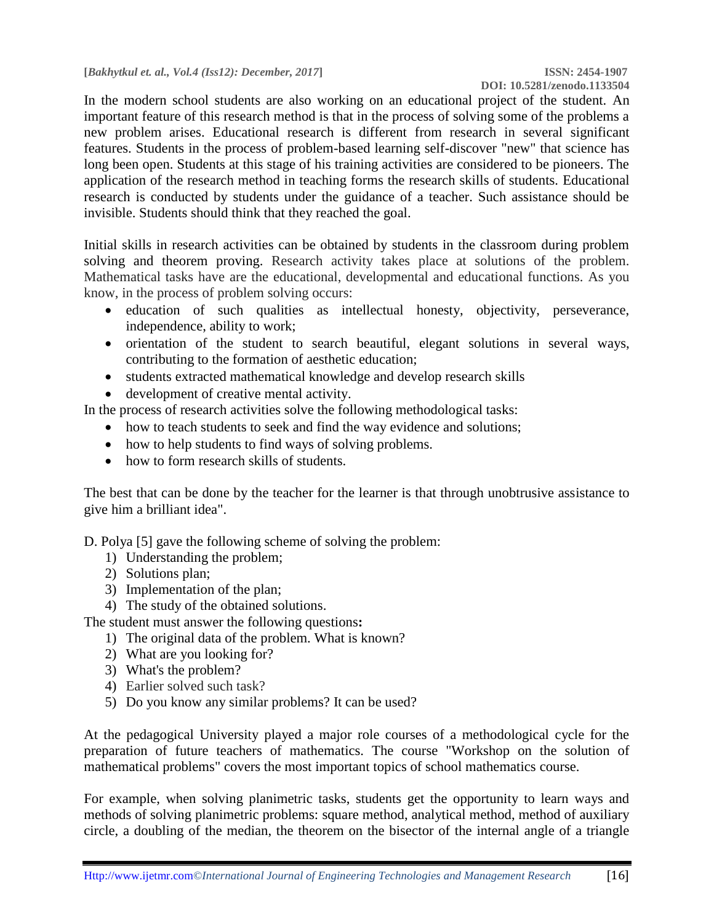In the modern school students are also working on an educational project of the student. An important feature of this research method is that in the process of solving some of the problems a new problem arises. Educational research is different from research in several significant features. Students in the process of problem-based learning self-discover "new" that science has long been open. Students at this stage of his training activities are considered to be pioneers. The application of the research method in teaching forms the research skills of students. Educational research is conducted by students under the guidance of a teacher. Such assistance should be invisible. Students should think that they reached the goal.

Initial skills in research activities can be obtained by students in the classroom during problem solving and theorem proving. Research activity takes place at solutions of the problem. Mathematical tasks have are the educational, developmental and educational functions. As you know, in the process of problem solving occurs:

- education of such qualities as intellectual honesty, objectivity, perseverance, independence, ability to work;
- orientation of the student to search beautiful, elegant solutions in several ways, contributing to the formation of aesthetic education;
- students extracted mathematical knowledge and develop research skills
- development of creative mental activity.

In the process of research activities solve the following methodological tasks:

- how to teach students to seek and find the way evidence and solutions;
- how to help students to find ways of solving problems.
- how to form research skills of students.

The best that can be done by the teacher for the learner is that through unobtrusive assistance to give him a brilliant idea".

D. Polya [5] gave the following scheme of solving the problem:

- 1) Understanding the problem;
- 2) Solutions plan;
- 3) Implementation of the plan;
- 4) The study of the obtained solutions.

The student must answer the following questions**:** 

- 1) The original data of the problem. What is known?
- 2) What are you looking for?
- 3) What's the problem?
- 4) Earlier solved such task?
- 5) Do you know any similar problems? It can be used?

At the pedagogical University played a major role courses of a methodological cycle for the preparation of future teachers of mathematics. The course "Workshop on the solution of mathematical problems" covers the most important topics of school mathematics course.

For example, when solving planimetric tasks, students get the opportunity to learn ways and methods of solving planimetric problems: square method, analytical method, method of auxiliary circle, a doubling of the median, the theorem on the bisector of the internal angle of a triangle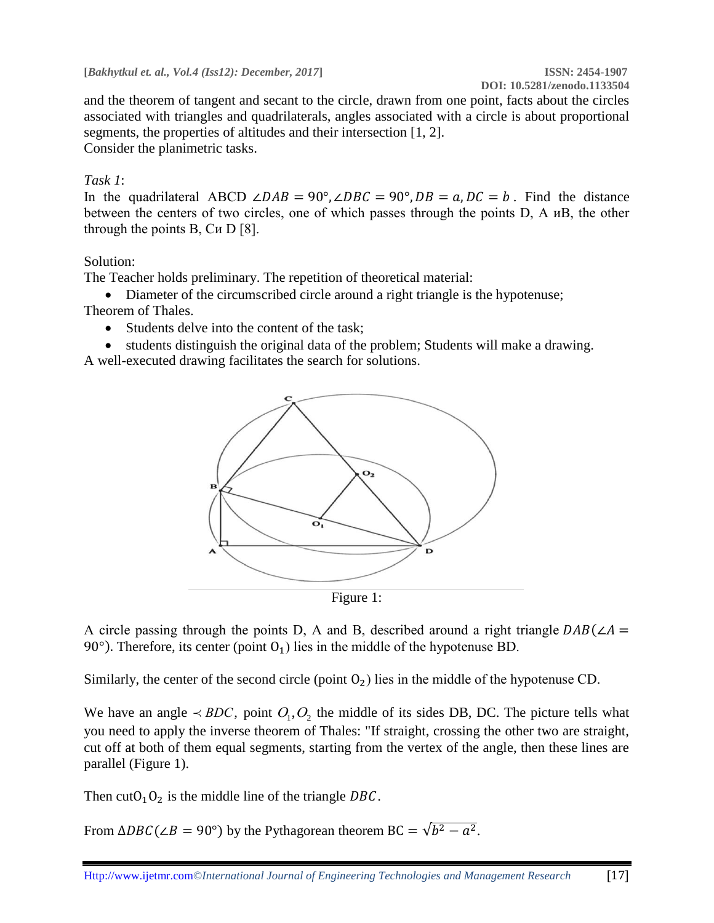and the theorem of tangent and secant to the circle, drawn from one point, facts about the circles associated with triangles and quadrilaterals, angles associated with a circle is about proportional segments, the properties of altitudes and their intersection [1, 2]. Consider the planimetric tasks.

### *Task 1*:

In the quadrilateral ABCD ∠DAB = 90°, ∠DBC = 90°, DB =  $a, DC = b$ . Find the distance between the centers of two circles, one of which passes through the points D, A иВ, the other through the points В, Си D [8].

#### Solution:

The Teacher holds preliminary. The repetition of theoretical material:

• Diameter of the circumscribed circle around a right triangle is the hypotenuse; Theorem of Thales.

- Students delve into the content of the task;
- students distinguish the original data of the problem; Students will make a drawing.

A well-executed drawing facilitates the search for solutions.



Figure 1:

A circle passing through the points D, A and B, described around a right triangle  $DAB(\angle A =$ 90°). Therefore, its center (point  $O_1$ ) lies in the middle of the hypotenuse BD.

Similarly, the center of the second circle (point  $O_2$ ) lies in the middle of the hypotenuse CD.

We have an angle  $\prec BDC$ , point  $O_1, O_2$  the middle of its sides DB, DC. The picture tells what you need to apply the inverse theorem of Thales: "If straight, crossing the other two are straight, cut off at both of them equal segments, starting from the vertex of the angle, then these lines are parallel (Figure 1).

Then cut  $O_1O_2$  is the middle line of the triangle DBC.

From  $\triangle DEC(\angle B = 90^{\circ})$  by the Pythagorean theorem BC =  $\sqrt{b^2 - a^2}$ .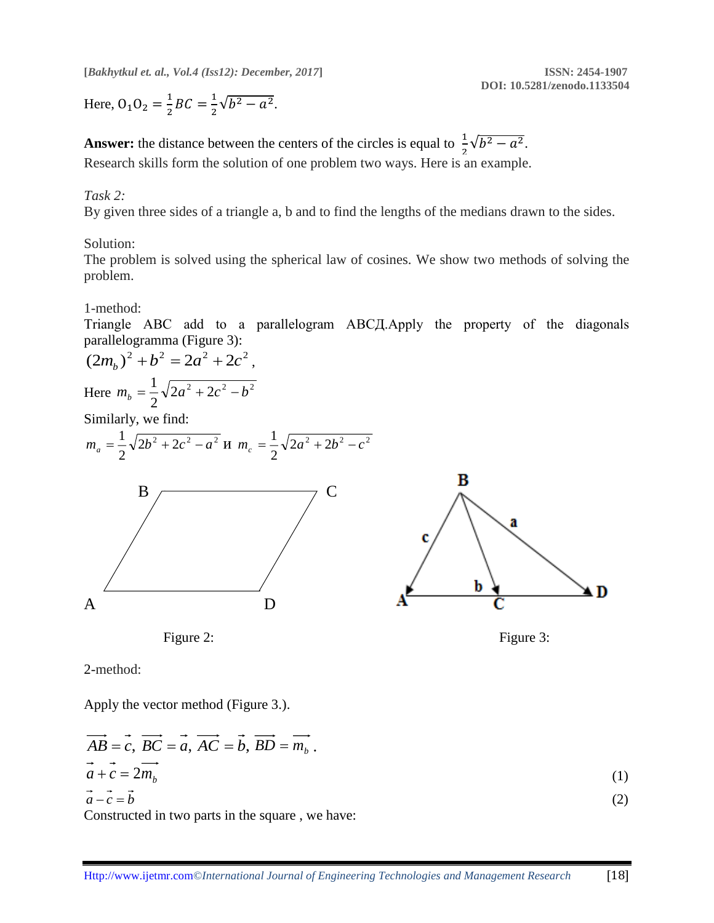Here,  $0_1 0_2 = \frac{1}{2}$  $\frac{1}{2}BC = \frac{1}{2}$  $rac{1}{2}\sqrt{b^2-a^2}$ .

**Answer:** the distance between the centers of the circles is equal to  $\frac{1}{2}\sqrt{b^2 - a^2}$ . Research skills form the solution of one problem two ways. Here is an example.

#### *Task 2:*

By given three sides of a triangle a, b and to find the lengths of the medians drawn to the sides.

#### Solution:

The problem is solved using the spherical law of cosines. We show two methods of solving the problem.

1-method:

Triangle ABC add to a parallelogram АВСД.Apply the property of the diagonals parallelogramma (Figure 3):

$$
(2m_b)^2 + b^2 = 2a^2 + 2c^2,
$$
  
Here  $m_b = \frac{1}{2}\sqrt{2a^2 + 2c^2 - b^2}$ 

Similarly, we find:



Figure 2: Figure 3:

2-method:

Apply the vector method (Figure 3.).

$$
\overrightarrow{AB} = \overrightarrow{c}, \overrightarrow{BC} = \overrightarrow{a}, \overrightarrow{AC} = \overrightarrow{b}, \overrightarrow{BD} = \overrightarrow{m_b}.
$$
  
\n
$$
\overrightarrow{a} + \overrightarrow{c} = 2\overrightarrow{m_b}
$$
  
\n
$$
\overrightarrow{a} - \overrightarrow{c} = \overrightarrow{b}
$$
 (1)

Constructed in two parts in the square , we have: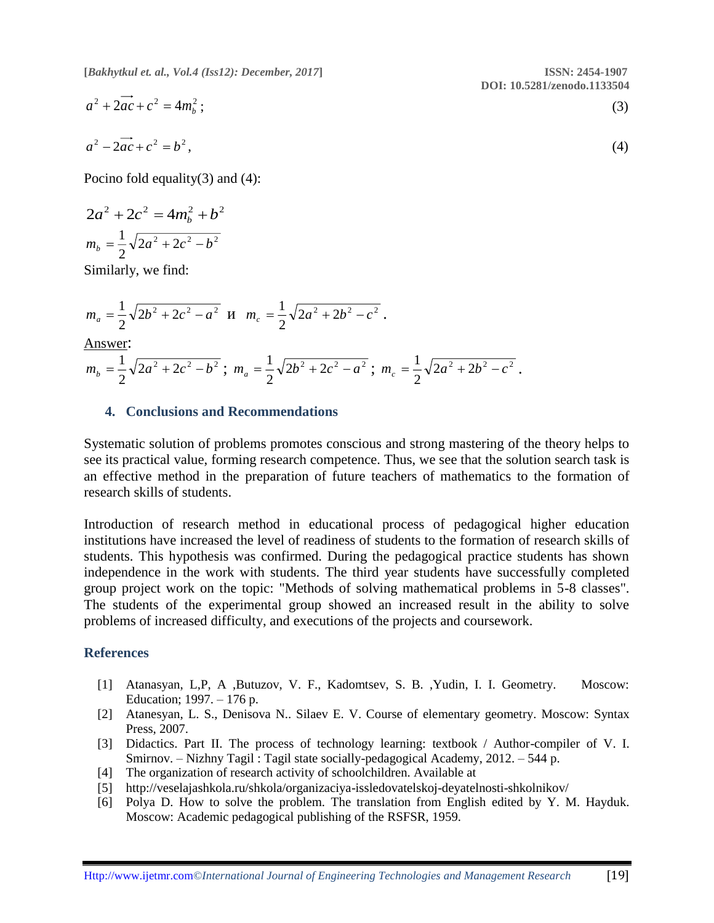$$
a^{2} + 2ac + c^{2} = 4m_{b}^{2};
$$
\n
$$
a^{2} - 2ac + c^{2} = b^{2},
$$
\n(3)

Pocino fold equality(3) and (4):

$$
2a^{2} + 2c^{2} = 4m_{b}^{2} + b^{2}
$$

$$
m_{b} = \frac{1}{2}\sqrt{2a^{2} + 2c^{2} - b^{2}}
$$

Similarly, we find:

$$
m_a = \frac{1}{2}\sqrt{2b^2 + 2c^2 - a^2} \text{ H } m_c = \frac{1}{2}\sqrt{2a^2 + 2b^2 - c^2}.
$$

Answer:

$$
m_b = \frac{1}{2}\sqrt{2a^2 + 2c^2 - b^2} \ ; \ m_a = \frac{1}{2}\sqrt{2b^2 + 2c^2 - a^2} \ ; \ m_c = \frac{1}{2}\sqrt{2a^2 + 2b^2 - c^2} \ .
$$

#### **4. Conclusions and Recommendations**

Systematic solution of problems promotes conscious and strong mastering of the theory helps to see its practical value, forming research competence. Thus, we see that the solution search task is an effective method in the preparation of future teachers of mathematics to the formation of research skills of students.

Introduction of research method in educational process of pedagogical higher education institutions have increased the level of readiness of students to the formation of research skills of students. This hypothesis was confirmed. During the pedagogical practice students has shown independence in the work with students. The third year students have successfully completed group project work on the topic: "Methods of solving mathematical problems in 5-8 classes". The students of the experimental group showed an increased result in the ability to solve problems of increased difficulty, and executions of the projects and coursework.

#### **References**

- [1] Atanasyan, L,P, A ,Butuzov, V. F., Kadomtsev, S. B. ,Yudin, I. I. Geometry. Moscow: Education; 1997. – 176 p.
- [2] Atanesyan, L. S., Denisova N.. Silaev E. V. Course of elementary geometry. Moscow: Syntax Press, 2007.
- [3] Didactics. Part II. The process of technology learning: textbook / Author-compiler of V. I. Smirnov. – Nizhny Tagil : Tagil state socially-pedagogical Academy, 2012. – 544 p.
- [4] The organization of research activity of schoolchildren. Available at
- [5] http://veselajashkola.ru/shkola/organizaciya-issledovatelskoj-deyatelnosti-shkolnikov/
- [6] Polya D. How to solve the problem. The translation from English edited by Y. M. Hayduk. Moscow: Academic pedagogical publishing of the RSFSR, 1959.

**DOI: 10.5281/zenodo.1133504**